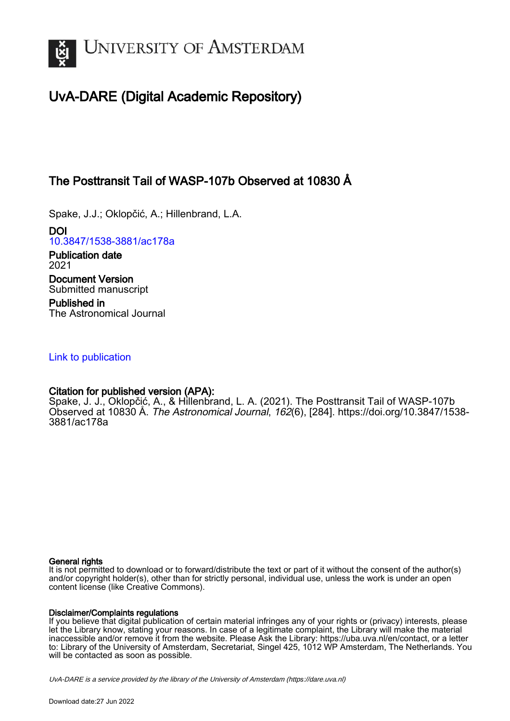

# UvA-DARE (Digital Academic Repository)

# The Posttransit Tail of WASP-107b Observed at 10830 Å

Spake, J.J.; Oklopčić, A.; Hillenbrand, L.A.

DOI [10.3847/1538-3881/ac178a](https://doi.org/10.3847/1538-3881/ac178a)

Publication date 2021 Document Version Submitted manuscript

Published in The Astronomical Journal

## [Link to publication](https://dare.uva.nl/personal/pure/en/publications/the-posttransit-tail-of-wasp107b-observed-at-10830-aa(290b8617-1248-4ab8-8c36-ed76826d0f25).html)

## Citation for published version (APA):

Spake, J. J., Oklopčić, A., & Hillenbrand, L. A. (2021). The Posttransit Tail of WASP-107b Observed at 10830 Å. The Astronomical Journal, 162(6), [284]. [https://doi.org/10.3847/1538-](https://doi.org/10.3847/1538-3881/ac178a) [3881/ac178a](https://doi.org/10.3847/1538-3881/ac178a)

### General rights

It is not permitted to download or to forward/distribute the text or part of it without the consent of the author(s) and/or copyright holder(s), other than for strictly personal, individual use, unless the work is under an open content license (like Creative Commons).

### Disclaimer/Complaints regulations

If you believe that digital publication of certain material infringes any of your rights or (privacy) interests, please let the Library know, stating your reasons. In case of a legitimate complaint, the Library will make the material inaccessible and/or remove it from the website. Please Ask the Library: https://uba.uva.nl/en/contact, or a letter to: Library of the University of Amsterdam, Secretariat, Singel 425, 1012 WP Amsterdam, The Netherlands. You will be contacted as soon as possible.

UvA-DARE is a service provided by the library of the University of Amsterdam (http*s*://dare.uva.nl)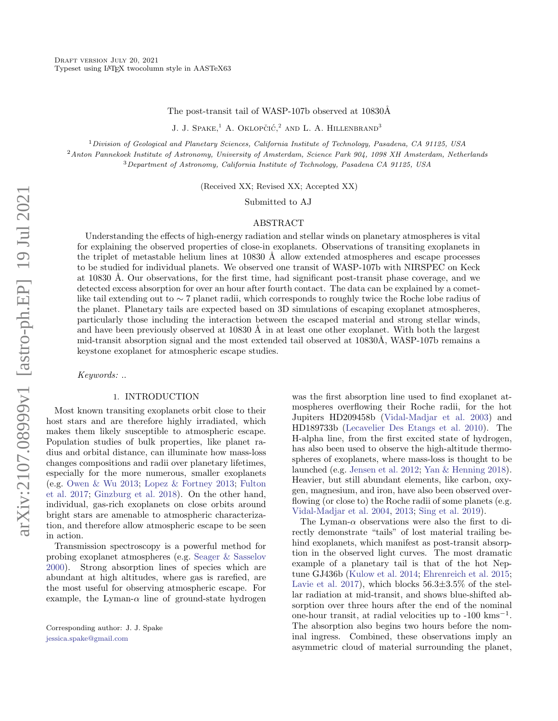#### The post-transit tail of WASP-107b observed at 10830Å

J. J. Spake.<sup>1</sup> A. Oklopčić.<sup>2</sup> and L. A. Hillenbrand<sup>3</sup>

 $1$ Division of Geological and Planetary Sciences, California Institute of Technology, Pasadena, CA 91125, USA <sup>2</sup>Anton Pannekoek Institute of Astronomy, University of Amsterdam, Science Park 904, 1098 XH Amsterdam, Netherlands <sup>3</sup>Department of Astronomy, California Institute of Technology, Pasadena CA 91125, USA

(Received XX; Revised XX; Accepted XX)

Submitted to AJ

#### ABSTRACT

Understanding the effects of high-energy radiation and stellar winds on planetary atmospheres is vital for explaining the observed properties of close-in exoplanets. Observations of transiting exoplanets in the triplet of metastable helium lines at  $10830 \text{ Å}$  allow extended atmospheres and escape processes to be studied for individual planets. We observed one transit of WASP-107b with NIRSPEC on Keck at 10830 Å. Our observations, for the first time, had significant post-transit phase coverage, and we detected excess absorption for over an hour after fourth contact. The data can be explained by a cometlike tail extending out to ∼ 7 planet radii, which corresponds to roughly twice the Roche lobe radius of the planet. Planetary tails are expected based on 3D simulations of escaping exoplanet atmospheres, particularly those including the interaction between the escaped material and strong stellar winds, and have been previously observed at  $10830 \text{ Å}$  in at least one other exoplanet. With both the largest mid-transit absorption signal and the most extended tail observed at  $10830\text{\AA}$ , WASP-107b remains a keystone exoplanet for atmospheric escape studies.

Keywords: ..

#### 1. INTRODUCTION

Most known transiting exoplanets orbit close to their host stars and are therefore highly irradiated, which makes them likely susceptible to atmospheric escape. Population studies of bulk properties, like planet radius and orbital distance, can illuminate how mass-loss changes compositions and radii over planetary lifetimes, especially for the more numerous, smaller exoplanets (e.g. [Owen & Wu](#page-11-0) [2013;](#page-11-0) [Lopez & Fortney](#page-10-0) [2013;](#page-10-0) [Fulton](#page-10-1) [et al.](#page-10-1) [2017;](#page-10-1) [Ginzburg et al.](#page-10-2) [2018\)](#page-10-2). On the other hand, individual, gas-rich exoplanets on close orbits around bright stars are amenable to atmospheric characterization, and therefore allow atmospheric escape to be seen in action.

Transmission spectroscopy is a powerful method for probing exoplanet atmospheres (e.g. [Seager & Sasselov](#page-11-1) [2000\)](#page-11-1). Strong absorption lines of species which are abundant at high altitudes, where gas is rarefied, are the most useful for observing atmospheric escape. For example, the Lyman- $\alpha$  line of ground-state hydrogen

was the first absorption line used to find exoplanet atmospheres overflowing their Roche radii, for the hot Jupiters HD209458b [\(Vidal-Madjar et al.](#page-11-2) [2003\)](#page-11-2) and HD189733b [\(Lecavelier Des Etangs et al.](#page-10-3) [2010\)](#page-10-3). The H-alpha line, from the first excited state of hydrogen, has also been used to observe the high-altitude thermospheres of exoplanets, where mass-loss is thought to be launched (e.g. [Jensen et al.](#page-10-4) [2012;](#page-10-4) [Yan & Henning](#page-11-3) [2018\)](#page-11-3). Heavier, but still abundant elements, like carbon, oxygen, magnesium, and iron, have also been observed overflowing (or close to) the Roche radii of some planets (e.g. [Vidal-Madjar et al.](#page-11-4) [2004,](#page-11-4) [2013;](#page-11-5) [Sing et al.](#page-11-6) [2019\)](#page-11-6).

The Lyman- $\alpha$  observations were also the first to directly demonstrate "tails" of lost material trailing behind exoplanets, which manifest as post-transit absorption in the observed light curves. The most dramatic example of a planetary tail is that of the hot Neptune GJ436b [\(Kulow et al.](#page-10-5) [2014;](#page-10-5) [Ehrenreich et al.](#page-10-6) [2015;](#page-10-6) [Lavie et al.](#page-10-7) [2017\)](#page-10-7), which blocks  $56.3 \pm 3.5\%$  of the stellar radiation at mid-transit, and shows blue-shifted absorption over three hours after the end of the nominal one-hour transit, at radial velocities up to  $-100 \text{ km s}^{-1}$ . The absorption also begins two hours before the nominal ingress. Combined, these observations imply an asymmetric cloud of material surrounding the planet,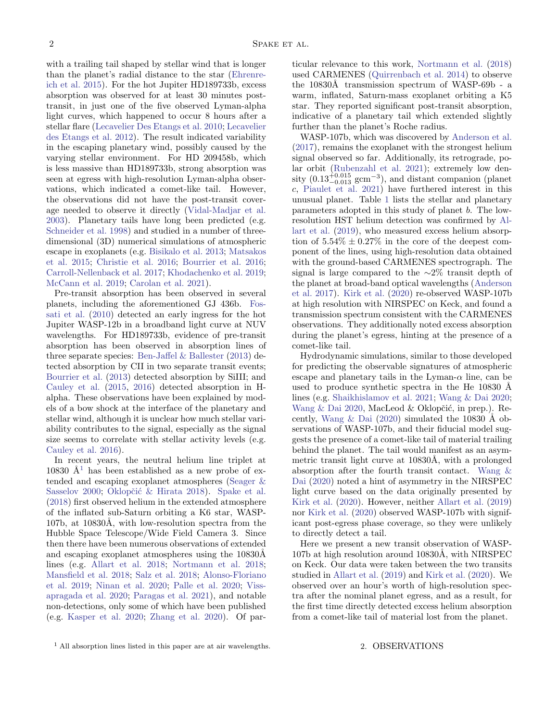with a trailing tail shaped by stellar wind that is longer than the planet's radial distance to the star [\(Ehrenre](#page-10-6)[ich et al.](#page-10-6) [2015\)](#page-10-6). For the hot Jupiter HD189733b, excess absorption was observed for at least 30 minutes posttransit, in just one of the five observed Lyman-alpha light curves, which happened to occur 8 hours after a stellar flare [\(Lecavelier Des Etangs et al.](#page-10-3) [2010;](#page-10-3) [Lecavelier](#page-10-8) [des Etangs et al.](#page-10-8) [2012\)](#page-10-8). The result indicated variability in the escaping planetary wind, possibly caused by the varying stellar environment. For HD 209458b, which is less massive than HD189733b, strong absorption was seen at egress with high-resolution Lyman-alpha observations, which indicated a comet-like tail. However, the observations did not have the post-transit coverage needed to observe it directly [\(Vidal-Madjar et al.](#page-11-2) [2003\)](#page-11-2). Planetary tails have long been predicted (e.g. [Schneider et al.](#page-11-7) [1998\)](#page-11-7) and studied in a number of threedimensional (3D) numerical simulations of atmospheric escape in exoplanets (e.g. [Bisikalo et al.](#page-10-9) [2013;](#page-10-9) [Matsakos](#page-10-10) [et al.](#page-10-10) [2015;](#page-10-10) [Christie et al.](#page-10-11) [2016;](#page-10-11) [Bourrier et al.](#page-10-12) [2016;](#page-10-12) [Carroll-Nellenback et al.](#page-10-13) [2017;](#page-10-13) [Khodachenko et al.](#page-10-14) [2019;](#page-10-14) [McCann et al.](#page-10-15) [2019;](#page-10-15) [Carolan et al.](#page-10-16) [2021\)](#page-10-16).

Pre-transit absorption has been observed in several planets, including the aforementioned GJ 436b. [Fos](#page-10-17)[sati et al.](#page-10-17) [\(2010\)](#page-10-17) detected an early ingress for the hot Jupiter WASP-12b in a broadband light curve at NUV wavelengths. For HD189733b, evidence of pre-transit absorption has been observed in absorption lines of three separate species: [Ben-Jaffel & Ballester](#page-10-18) [\(2013\)](#page-10-18) detected absorption by CII in two separate transit events; [Bourrier et al.](#page-10-19) [\(2013\)](#page-10-19) detected absorption by SiIII; and [Cauley et al.](#page-10-20) [\(2015,](#page-10-20) [2016\)](#page-10-21) detected absorption in Halpha. These observations have been explained by models of a bow shock at the interface of the planetary and stellar wind, although it is unclear how much stellar variability contributes to the signal, especially as the signal size seems to correlate with stellar activity levels (e.g. [Cauley et al.](#page-10-21) [2016\)](#page-10-21).

In recent years, the neutral helium line triplet at [1](#page-2-0)0830  $\AA$ <sup>1</sup> has been established as a new probe of extended and escaping exoplanet atmospheres [\(Seager &](#page-11-1) [Sasselov](#page-11-1) [2000;](#page-11-1) Oklopčić & Hirata [2018\)](#page-11-8). [Spake et al.](#page-11-9) [\(2018\)](#page-11-9) first observed helium in the extended atmosphere of the inflated sub-Saturn orbiting a K6 star, WASP-107b, at 10830Å, with low-resolution spectra from the Hubble Space Telescope/Wide Field Camera 3. Since then there have been numerous observations of extended and escaping exoplanet atmospheres using the  $10830\text{\AA}$ lines (e.g. [Allart et al.](#page-10-22) [2018;](#page-10-22) [Nortmann et al.](#page-11-10) [2018;](#page-11-10) [Mansfield et al.](#page-10-23) [2018;](#page-10-23) [Salz et al.](#page-11-11) [2018;](#page-11-11) [Alonso-Floriano](#page-10-24) [et al.](#page-10-24) [2019;](#page-10-24) [Ninan et al.](#page-11-12) [2020;](#page-11-12) [Palle et al.](#page-11-13) [2020;](#page-11-13) [Viss](#page-11-14)[apragada et al.](#page-11-14) [2020;](#page-11-14) [Paragas et al.](#page-11-15) [2021\)](#page-11-15), and notable non-detections, only some of which have been published (e.g. [Kasper et al.](#page-10-25) [2020;](#page-10-25) [Zhang et al.](#page-11-16) [2020\)](#page-11-16). Of particular relevance to this work, [Nortmann et al.](#page-11-10) [\(2018\)](#page-11-10) used CARMENES [\(Quirrenbach et al.](#page-11-17) [2014\)](#page-11-17) to observe the 10830Å transmission spectrum of WASP-69b - a warm, inflated, Saturn-mass exoplanet orbiting a K5 star. They reported significant post-transit absorption, indicative of a planetary tail which extended slightly further than the planet's Roche radius.

WASP-107b, which was discovered by [Anderson et al.](#page-10-26) [\(2017\)](#page-10-26), remains the exoplanet with the strongest helium signal observed so far. Additionally, its retrograde, polar orbit [\(Rubenzahl et al.](#page-11-18) [2021\)](#page-11-18); extremely low density  $(0.13_{-0.013}^{+0.015}$  gcm<sup>-3</sup>), and distant companion (planet c, [Piaulet et al.](#page-11-19) [2021\)](#page-11-19) have furthered interest in this unusual planet. Table [1](#page-3-0) lists the stellar and planetary parameters adopted in this study of planet b. The lowresolution HST helium detection was confirmed by [Al](#page-10-27)[lart et al.](#page-10-27) [\(2019\)](#page-10-27), who measured excess helium absorption of  $5.54\% \pm 0.27\%$  in the core of the deepest component of the lines, using high-resolution data obtained with the ground-based CARMENES spectrograph. The signal is large compared to the ∼2% transit depth of the planet at broad-band optical wavelengths [\(Anderson](#page-10-26) [et al.](#page-10-26) [2017\)](#page-10-26). [Kirk et al.](#page-10-28) [\(2020\)](#page-10-28) re-observed WASP-107b at high resolution with NIRSPEC on Keck, and found a transmission spectrum consistent with the CARMENES observations. They additionally noted excess absorption during the planet's egress, hinting at the presence of a comet-like tail.

Hydrodynamic simulations, similar to those developed for predicting the observable signatures of atmospheric escape and planetary tails in the Lyman- $\alpha$  line, can be used to produce synthetic spectra in the He 10830 Å lines (e.g. [Shaikhislamov et al.](#page-11-20) [2021;](#page-11-20) [Wang & Dai](#page-11-21) [2020;](#page-11-21) Wang  $\&$  Dai [2020,](#page-11-22) MacLeod  $\&$  Oklopčić, in prep.). Recently, Wang  $\&$  Dai [\(2020\)](#page-11-22) simulated the 10830 Å observations of WASP-107b, and their fiducial model suggests the presence of a comet-like tail of material trailing behind the planet. The tail would manifest as an asymmetric transit light curve at 10830Å, with a prolonged absorption after the fourth transit contact. [Wang &](#page-11-22) [Dai](#page-11-22) [\(2020\)](#page-11-22) noted a hint of asymmetry in the NIRSPEC light curve based on the data originally presented by [Kirk et al.](#page-10-28) [\(2020\)](#page-10-28). However, neither [Allart et al.](#page-10-27) [\(2019\)](#page-10-27) nor [Kirk et al.](#page-10-28) [\(2020\)](#page-10-28) observed WASP-107b with significant post-egress phase coverage, so they were unlikely to directly detect a tail.

Here we present a new transit observation of WASP-107b at high resolution around 10830Å, with NIRSPEC on Keck. Our data were taken between the two transits studied in [Allart et al.](#page-10-27) [\(2019\)](#page-10-27) and [Kirk et al.](#page-10-28) [\(2020\)](#page-10-28). We observed over an hour's worth of high-resolution spectra after the nominal planet egress, and as a result, for the first time directly detected excess helium absorption from a comet-like tail of material lost from the planet.

#### 2. OBSERVATIONS

<span id="page-2-0"></span><sup>1</sup> All absorption lines listed in this paper are at air wavelengths.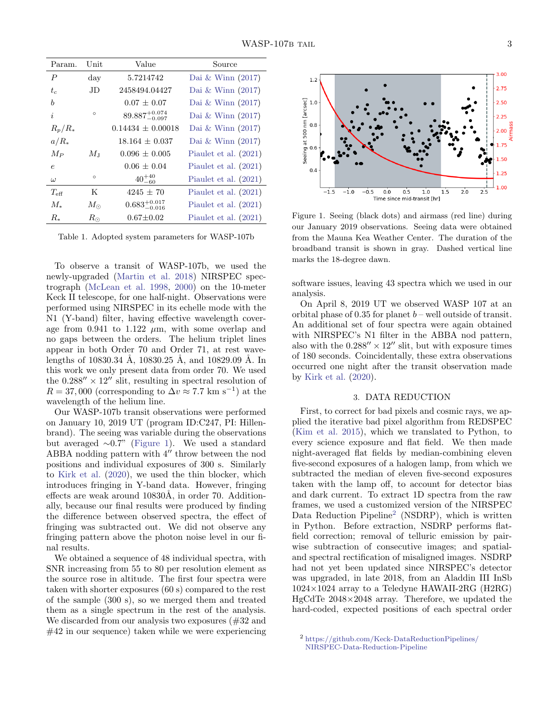| Param.           | Unit         | Value                      | Source                  |
|------------------|--------------|----------------------------|-------------------------|
| $\boldsymbol{P}$ | $_{\rm day}$ | 5.7214742                  | Dai & Winn $(2017)$     |
| $t_c$            | JD.          | 2458494.04427              | Dai & Winn $(2017)$     |
| b                |              | $0.07 + 0.07$              | Dai & Winn $(2017)$     |
| i                | $\circ$      | $89.887^{+0.074}_{-0.097}$ | Dai & Winn $(2017)$     |
| $R_p/R_*$        |              | $0.14434 + 0.00018$        | Dai & Winn $(2017)$     |
| $a/R_*$          |              | $18.164 \pm 0.037$         | Dai & Winn $(2017)$     |
| $M_P$            | $M_{\rm J}$  | $0.096 \pm 0.005$          | Piaulet et al. $(2021)$ |
| $\epsilon$       |              | $0.06 \pm 0.04$            | Piaulet et al. $(2021)$ |
| $\omega$         | $\circ$      | $40^{+40}_{-60}$           | Piaulet et al. (2021)   |
| $T_{\rm eff}$    | K            | $4245 \pm 70$              | Piaulet et al. $(2021)$ |
| $M_{*}$          | $M_{\odot}$  | $0.683^{+0.017}_{-0.016}$  | Piaulet et al. $(2021)$ |
| $R_*$            | $R_{\odot}$  | $0.67 \pm 0.02$            | Piaulet et al. $(2021)$ |

<span id="page-3-0"></span>Table 1. Adopted system parameters for WASP-107b

To observe a transit of WASP-107b, we used the newly-upgraded [\(Martin et al.](#page-10-30) [2018\)](#page-10-30) NIRSPEC spectrograph [\(McLean et al.](#page-11-23) [1998,](#page-11-23) [2000\)](#page-11-24) on the 10-meter Keck II telescope, for one half-night. Observations were performed using NIRSPEC in its echelle mode with the N1 (Y-band) filter, having effective wavelength coverage from 0.941 to 1.122  $\mu$ m, with some overlap and no gaps between the orders. The helium triplet lines appear in both Order 70 and Order 71, at rest wavelengths of 10830.34 Å, 10830.25 Å, and 10829.09 Å. In this work we only present data from order 70. We used the  $0.288'' \times 12''$  slit, resulting in spectral resolution of  $R = 37,000$  (corresponding to  $\Delta v \approx 7.7$  km s<sup>-1</sup>) at the wavelength of the helium line.

Our WASP-107b transit observations were performed on January 10, 2019 UT (program ID:C247, PI: Hillenbrand). The seeing was variable during the observations but averaged ∼0.7" [\(Figure 1\)](#page-3-1). We used a standard ABBA nodding pattern with  $4^{\prime\prime}$  throw between the nod positions and individual exposures of 300 s. Similarly to [Kirk et al.](#page-10-28) [\(2020\)](#page-10-28), we used the thin blocker, which introduces fringing in Y-band data. However, fringing effects are weak around  $10830\text{\AA}$ , in order 70. Additionally, because our final results were produced by finding the difference between observed spectra, the effect of fringing was subtracted out. We did not observe any fringing pattern above the photon noise level in our final results.

We obtained a sequence of 48 individual spectra, with SNR increasing from 55 to 80 per resolution element as the source rose in altitude. The first four spectra were taken with shorter exposures (60 s) compared to the rest of the sample (300 s), so we merged them and treated them as a single spectrum in the rest of the analysis. We discarded from our analysis two exposures (#32 and #42 in our sequence) taken while we were experiencing



<span id="page-3-1"></span>Figure 1. Seeing (black dots) and airmass (red line) during our January 2019 observations. Seeing data were obtained from the Mauna Kea Weather Center. The duration of the broadband transit is shown in gray. Dashed vertical line marks the 18-degree dawn.

software issues, leaving 43 spectra which we used in our analysis.

On April 8, 2019 UT we observed WASP 107 at an orbital phase of 0.35 for planet  $b$  – well outside of transit. An additional set of four spectra were again obtained with NIRSPEC's N1 filter in the ABBA nod pattern, also with the  $0.288'' \times 12''$  slit, but with exposure times of 180 seconds. Coincidentally, these extra observations occurred one night after the transit observation made by [Kirk et al.](#page-10-28) [\(2020\)](#page-10-28).

#### 3. DATA REDUCTION

First, to correct for bad pixels and cosmic rays, we applied the iterative bad pixel algorithm from REDSPEC [\(Kim et al.](#page-10-31) [2015\)](#page-10-31), which we translated to Python, to every science exposure and flat field. We then made night-averaged flat fields by median-combining eleven five-second exposures of a halogen lamp, from which we subtracted the median of eleven five-second exposures taken with the lamp off, to account for detector bias and dark current. To extract 1D spectra from the raw frames, we used a customized version of the NIRSPEC Data Reduction Pipeline<sup>[2](#page-3-2)</sup> (NSDRP), which is written in Python. Before extraction, NSDRP performs flatfield correction; removal of telluric emission by pairwise subtraction of consecutive images; and spatialand spectral rectification of misaligned images. NSDRP had not yet been updated since NIRSPEC's detector was upgraded, in late 2018, from an Aladdin III InSb  $1024\times1024$  array to a Teledyne HAWAII-2RG (H2RG) HgCdTe 2048×2048 array. Therefore, we updated the hard-coded, expected positions of each spectral order

<span id="page-3-2"></span><sup>2</sup> [https://github.com/Keck-DataReductionPipelines/](https://github.com/Keck-DataReductionPipelines/NIRSPEC-Data-Reduction-Pipeline) [NIRSPEC-Data-Reduction-Pipeline](https://github.com/Keck-DataReductionPipelines/NIRSPEC-Data-Reduction-Pipeline)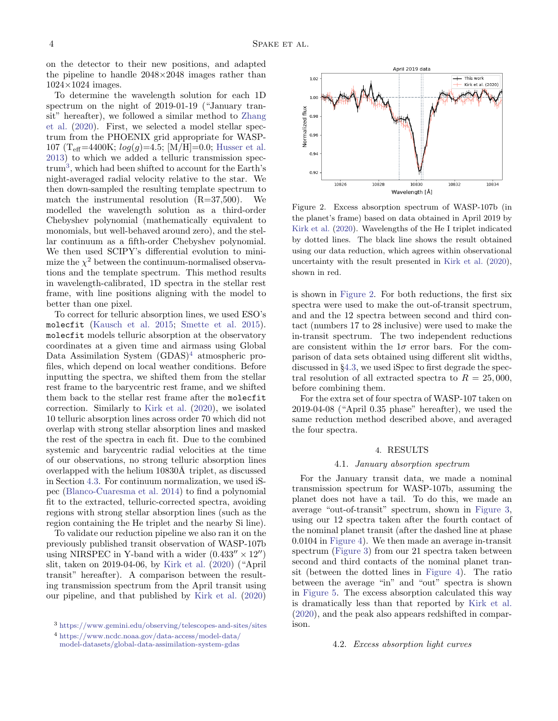on the detector to their new positions, and adapted the pipeline to handle  $2048\times2048$  images rather than  $1024\times1024$  images.

To determine the wavelength solution for each 1D spectrum on the night of 2019-01-19 ("January transit" hereafter), we followed a similar method to [Zhang](#page-11-16) [et al.](#page-11-16) [\(2020\)](#page-11-16). First, we selected a model stellar spectrum from the PHOENIX grid appropriate for WASP-107 (T<sub>eff</sub>=4400K;  $log(q)$ =4.5; [M/H]=0.0; [Husser et al.](#page-10-32) [2013\)](#page-10-32) to which we added a telluric transmission spec- $\text{trum}^3$  $\text{trum}^3$ , which had been shifted to account for the Earth's night-averaged radial velocity relative to the star. We then down-sampled the resulting template spectrum to match the instrumental resolution  $(R=37,500)$ . We modelled the wavelength solution as a third-order Chebyshev polynomial (mathematically equivalent to monomials, but well-behaved around zero), and the stellar continuum as a fifth-order Chebyshev polynomial. We then used SCIPY's differential evolution to minimize the  $\chi^2$  between the continuum-normalised observations and the template spectrum. This method results in wavelength-calibrated, 1D spectra in the stellar rest frame, with line positions aligning with the model to better than one pixel.

To correct for telluric absorption lines, we used ESO's molecfit [\(Kausch et al.](#page-10-33) [2015;](#page-10-33) [Smette et al.](#page-11-25) [2015\)](#page-11-25). molecfit models telluric absorption at the observatory coordinates at a given time and airmass using Global Data Assimilation System  $(GDAS)^4$  $(GDAS)^4$  atmospheric profiles, which depend on local weather conditions. Before inputting the spectra, we shifted them from the stellar rest frame to the barycentric rest frame, and we shifted them back to the stellar rest frame after the molecfit correction. Similarly to [Kirk et al.](#page-10-28) [\(2020\)](#page-10-28), we isolated 10 telluric absorption lines across order 70 which did not overlap with strong stellar absorption lines and masked the rest of the spectra in each fit. Due to the combined systemic and barycentric radial velocities at the time of our observations, no strong telluric absorption lines overlapped with the helium 10830Å triplet, as discussed in Section [4.3.](#page-5-0) For continuum normalization, we used iSpec [\(Blanco-Cuaresma et al.](#page-10-34) [2014\)](#page-10-34) to find a polynomial fit to the extracted, telluric-corrected spectra, avoiding regions with strong stellar absorption lines (such as the region containing the He triplet and the nearby Si line).

To validate our reduction pipeline we also ran it on the previously published transit observation of WASP-107b using NIRSPEC in Y-band with a wider  $(0.433'' \times 12'')$ slit, taken on 2019-04-06, by [Kirk et al.](#page-10-28) [\(2020\)](#page-10-28) ("April transit" hereafter). A comparison between the resulting transmission spectrum from the April transit using our pipeline, and that published by [Kirk et al.](#page-10-28) [\(2020\)](#page-10-28)



<span id="page-4-2"></span>Figure 2. Excess absorption spectrum of WASP-107b (in the planet's frame) based on data obtained in April 2019 by [Kirk et al.](#page-10-28) [\(2020\)](#page-10-28). Wavelengths of the He I triplet indicated by dotted lines. The black line shows the result obtained using our data reduction, which agrees within observational uncertainty with the result presented in [Kirk et al.](#page-10-28) [\(2020\)](#page-10-28), shown in red.

is shown in [Figure 2.](#page-4-2) For both reductions, the first six spectra were used to make the out-of-transit spectrum, and and the 12 spectra between second and third contact (numbers 17 to 28 inclusive) were used to make the in-transit spectrum. The two independent reductions are consistent within the  $1\sigma$  error bars. For the comparison of data sets obtained using different slit widths, discussed in §[4.3,](#page-5-0) we used iSpec to first degrade the spectral resolution of all extracted spectra to  $R = 25,000$ , before combining them.

For the extra set of four spectra of WASP-107 taken on 2019-04-08 ("April 0.35 phase" hereafter), we used the same reduction method described above, and averaged the four spectra.

#### 4. RESULTS

#### 4.1. January absorption spectrum

For the January transit data, we made a nominal transmission spectrum for WASP-107b, assuming the planet does not have a tail. To do this, we made an average "out-of-transit" spectrum, shown in [Figure 3,](#page-5-1) using our 12 spectra taken after the fourth contact of the nominal planet transit (after the dashed line at phase 0.0104 in [Figure 4\)](#page-6-0). We then made an average in-transit spectrum [\(Figure 3\)](#page-5-1) from our 21 spectra taken between second and third contacts of the nominal planet transit (between the dotted lines in [Figure 4\)](#page-6-0). The ratio between the average "in" and "out" spectra is shown in [Figure 5.](#page-6-1) The excess absorption calculated this way is dramatically less than that reported by [Kirk et al.](#page-10-28) [\(2020\)](#page-10-28), and the peak also appears redshifted in comparison.

#### <span id="page-4-3"></span>4.2. Excess absorption light curves

<span id="page-4-0"></span><sup>3</sup> <https://www.gemini.edu/observing/telescopes-and-sites/sites>

<span id="page-4-1"></span><sup>4</sup> [https://www.ncdc.noaa.gov/data-access/model-data/](https://www.ncdc.noaa.gov/data-access/model-data/model-datasets/global-data-assimilation-system-gdas) [model-datasets/global-data-assimilation-system-gdas](https://www.ncdc.noaa.gov/data-access/model-data/model-datasets/global-data-assimilation-system-gdas)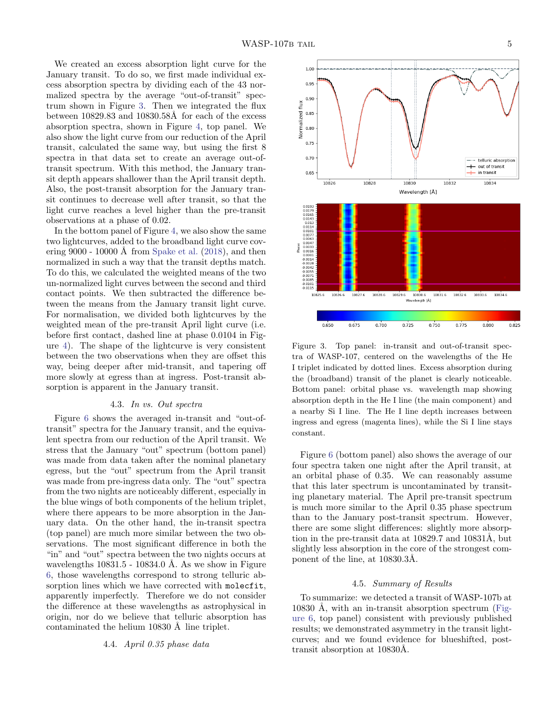We created an excess absorption light curve for the January transit. To do so, we first made individual excess absorption spectra by dividing each of the 43 normalized spectra by the average "out-of-transit" spectrum shown in Figure [3.](#page-5-1) Then we integrated the flux between  $10829.83$  and  $10830.58\text{\AA}$  for each of the excess absorption spectra, shown in Figure [4,](#page-6-0) top panel. We also show the light curve from our reduction of the April transit, calculated the same way, but using the first 8 spectra in that data set to create an average out-oftransit spectrum. With this method, the January transit depth appears shallower than the April transit depth. Also, the post-transit absorption for the January transit continues to decrease well after transit, so that the light curve reaches a level higher than the pre-transit observations at a phase of 0.02.

In the bottom panel of Figure [4,](#page-6-0) we also show the same two lightcurves, added to the broadband light curve cov-ering 9000 - 10000 Å from [Spake et al.](#page-11-9)  $(2018)$ , and then normalized in such a way that the transit depths match. To do this, we calculated the weighted means of the two un-normalized light curves between the second and third contact points. We then subtracted the difference between the means from the January transit light curve. For normalisation, we divided both lightcurves by the weighted mean of the pre-transit April light curve (i.e. before first contact, dashed line at phase 0.0104 in Figure [4\)](#page-6-0). The shape of the lightcurve is very consistent between the two observations when they are offset this way, being deeper after mid-transit, and tapering off more slowly at egress than at ingress. Post-transit absorption is apparent in the January transit.

#### 4.3. In vs. Out spectra

<span id="page-5-0"></span>Figure [6](#page-7-0) shows the averaged in-transit and "out-oftransit" spectra for the January transit, and the equivalent spectra from our reduction of the April transit. We stress that the January "out" spectrum (bottom panel) was made from data taken after the nominal planetary egress, but the "out" spectrum from the April transit was made from pre-ingress data only. The "out" spectra from the two nights are noticeably different, especially in the blue wings of both components of the helium triplet, where there appears to be more absorption in the January data. On the other hand, the in-transit spectra (top panel) are much more similar between the two observations. The most significant difference in both the "in" and "out" spectra between the two nights occurs at wavelengths  $10831.5 - 10834.0$  Å. As we show in Figure [6,](#page-7-0) those wavelengths correspond to strong telluric absorption lines which we have corrected with molecfit, apparently imperfectly. Therefore we do not consider the difference at these wavelengths as astrophysical in origin, nor do we believe that telluric absorption has contaminated the helium  $10830$  Å line triplet.

#### 4.4. April 0.35 phase data



<span id="page-5-1"></span>Figure 3. Top panel: in-transit and out-of-transit spectra of WASP-107, centered on the wavelengths of the He I triplet indicated by dotted lines. Excess absorption during the (broadband) transit of the planet is clearly noticeable. Bottom panel: orbital phase vs. wavelength map showing absorption depth in the He I line (the main component) and a nearby Si I line. The He I line depth increases between ingress and egress (magenta lines), while the Si I line stays constant.

Figure [6](#page-7-0) (bottom panel) also shows the average of our four spectra taken one night after the April transit, at an orbital phase of 0.35. We can reasonably assume that this later spectrum is uncontaminated by transiting planetary material. The April pre-transit spectrum is much more similar to the April 0.35 phase spectrum than to the January post-transit spectrum. However, there are some slight differences: slightly more absorption in the pre-transit data at  $10829.7$  and  $10831\text{\AA}$ , but slightly less absorption in the core of the strongest component of the line, at  $10830.3\text{\AA}$ .

#### 4.5. Summary of Results

To summarize: we detected a transit of WASP-107b at 10830 Å, with an in-transit absorption spectrum [\(Fig](#page-7-0)[ure 6,](#page-7-0) top panel) consistent with previously published results; we demonstrated asymmetry in the transit lightcurves; and we found evidence for blueshifted, posttransit absorption at  $10830\text{\AA}$ .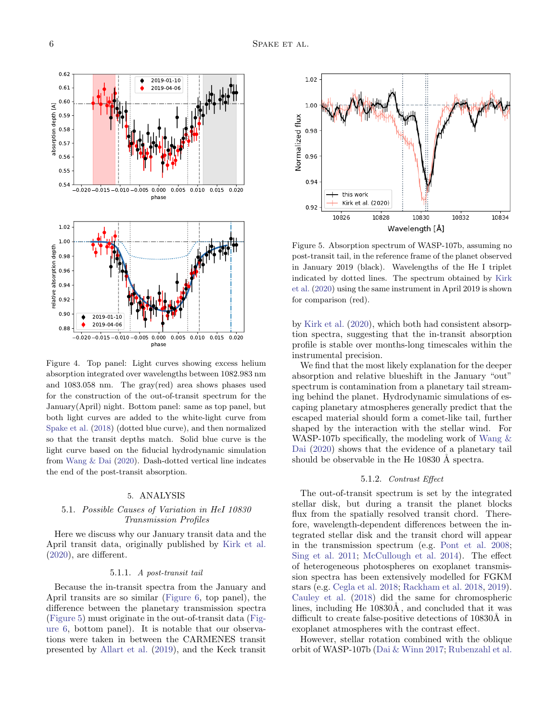

<span id="page-6-0"></span>Figure 4. Top panel: Light curves showing excess helium absorption integrated over wavelengths between 1082.983 nm and 1083.058 nm. The gray(red) area shows phases used for the construction of the out-of-transit spectrum for the January(April) night. Bottom panel: same as top panel, but both light curves are added to the white-light curve from [Spake et al.](#page-11-9) [\(2018\)](#page-11-9) (dotted blue curve), and then normalized so that the transit depths match. Solid blue curve is the light curve based on the fiducial hydrodynamic simulation from [Wang & Dai](#page-11-22) [\(2020\)](#page-11-22). Dash-dotted vertical line indcates the end of the post-transit absorption.

#### 5. ANALYSIS

#### 5.1. Possible Causes of Variation in HeI 10830 Transmission Profiles

Here we discuss why our January transit data and the April transit data, originally published by [Kirk et al.](#page-10-28) [\(2020\)](#page-10-28), are different.

#### 5.1.1. A post-transit tail

Because the in-transit spectra from the January and April transits are so similar [\(Figure 6,](#page-7-0) top panel), the difference between the planetary transmission spectra [\(Figure 5\)](#page-6-1) must originate in the out-of-transit data [\(Fig](#page-7-0)[ure 6,](#page-7-0) bottom panel). It is notable that our observations were taken in between the CARMENES transit presented by [Allart et al.](#page-10-27) [\(2019\)](#page-10-27), and the Keck transit



<span id="page-6-1"></span>Figure 5. Absorption spectrum of WASP-107b, assuming no post-transit tail, in the reference frame of the planet observed in January 2019 (black). Wavelengths of the He I triplet indicated by dotted lines. The spectrum obtained by [Kirk](#page-10-28) [et al.](#page-10-28) [\(2020\)](#page-10-28) using the same instrument in April 2019 is shown for comparison (red).

by [Kirk et al.](#page-10-28) [\(2020\)](#page-10-28), which both had consistent absorption spectra, suggesting that the in-transit absorption profile is stable over months-long timescales within the instrumental precision.

We find that the most likely explanation for the deeper absorption and relative blueshift in the January "out" spectrum is contamination from a planetary tail streaming behind the planet. Hydrodynamic simulations of escaping planetary atmospheres generally predict that the escaped material should form a comet-like tail, further shaped by the interaction with the stellar wind. For WASP-107b specifically, the modeling work of Wang  $\&$ [Dai](#page-11-22) [\(2020\)](#page-11-22) shows that the evidence of a planetary tail should be observable in the He  $10830 \text{ Å}$  spectra.

#### 5.1.2. Contrast Effect

The out-of-transit spectrum is set by the integrated stellar disk, but during a transit the planet blocks flux from the spatially resolved transit chord. Therefore, wavelength-dependent differences between the integrated stellar disk and the transit chord will appear in the transmission spectrum (e.g. [Pont et al.](#page-11-26) [2008;](#page-11-26) [Sing et al.](#page-11-27) [2011;](#page-11-27) [McCullough et al.](#page-11-28) [2014\)](#page-11-28). The effect of heterogeneous photospheres on exoplanet transmission spectra has been extensively modelled for FGKM stars (e.g. [Cegla et al.](#page-10-35) [2018;](#page-10-35) [Rackham et al.](#page-11-29) [2018,](#page-11-29) [2019\)](#page-11-30). [Cauley et al.](#page-10-36) [\(2018\)](#page-10-36) did the same for chromospheric lines, including He  $10830\text{\AA}$ , and concluded that it was difficult to create false-positive detections of  $10830\text{\AA}$  in exoplanet atmospheres with the contrast effect.

However, stellar rotation combined with the oblique orbit of WASP-107b [\(Dai & Winn](#page-10-37) [2017;](#page-10-37) [Rubenzahl et al.](#page-11-18)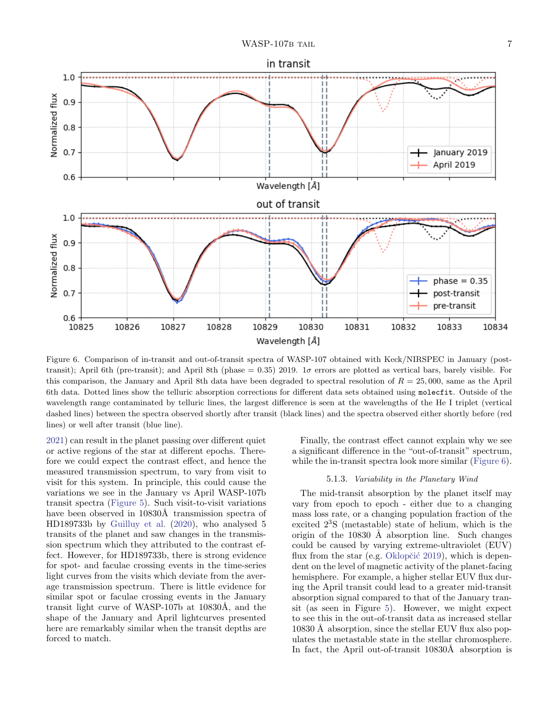



<span id="page-7-0"></span>Figure 6. Comparison of in-transit and out-of-transit spectra of WASP-107 obtained with Keck/NIRSPEC in January (posttransit); April 6th (pre-transit); and April 8th (phase = 0.35) 2019.  $1\sigma$  errors are plotted as vertical bars, barely visible. For this comparison, the January and April 8th data have been degraded to spectral resolution of  $R = 25,000$ , same as the April 6th data. Dotted lines show the telluric absorption corrections for different data sets obtained using molecfit. Outside of the wavelength range contaminated by telluric lines, the largest difference is seen at the wavelengths of the He I triplet (vertical dashed lines) between the spectra observed shortly after transit (black lines) and the spectra observed either shortly before (red lines) or well after transit (blue line).

[2021\)](#page-11-18) can result in the planet passing over different quiet or active regions of the star at different epochs. Therefore we could expect the contrast effect, and hence the measured transmission spectrum, to vary from visit to visit for this system. In principle, this could cause the variations we see in the January vs April WASP-107b transit spectra [\(Figure 5\)](#page-6-1). Such visit-to-visit variations have been observed in 10830Å transmission spectra of HD189733b by [Guilluy et al.](#page-10-38) [\(2020\)](#page-10-38), who analysed 5 transits of the planet and saw changes in the transmission spectrum which they attributed to the contrast effect. However, for HD189733b, there is strong evidence for spot- and faculae crossing events in the time-series light curves from the visits which deviate from the average transmission spectrum. There is little evidence for similar spot or faculae crossing events in the January transit light curve of WASP-107b at  $10830\text{\AA}$ , and the shape of the January and April lightcurves presented here are remarkably similar when the transit depths are forced to match.

Finally, the contrast effect cannot explain why we see a significant difference in the "out-of-transit" spectrum, while the in-transit spectra look more similar [\(Figure 6\)](#page-7-0).

#### 5.1.3. Variability in the Planetary Wind

The mid-transit absorption by the planet itself may vary from epoch to epoch - either due to a changing mass loss rate, or a changing population fraction of the excited 2<sup>3</sup>S (metastable) state of helium, which is the origin of the  $10830 \text{ Å}$  absorption line. Such changes could be caused by varying extreme-ultraviolet (EUV) flux from the star (e.g. Oklopčić [2019\)](#page-11-31), which is dependent on the level of magnetic activity of the planet-facing hemisphere. For example, a higher stellar EUV flux during the April transit could lead to a greater mid-transit absorption signal compared to that of the January transit (as seen in Figure [5\)](#page-6-1). However, we might expect to see this in the out-of-transit data as increased stellar 10830 Å absorption, since the stellar EUV flux also populates the metastable state in the stellar chromosphere. In fact, the April out-of-transit 10830Å absorption is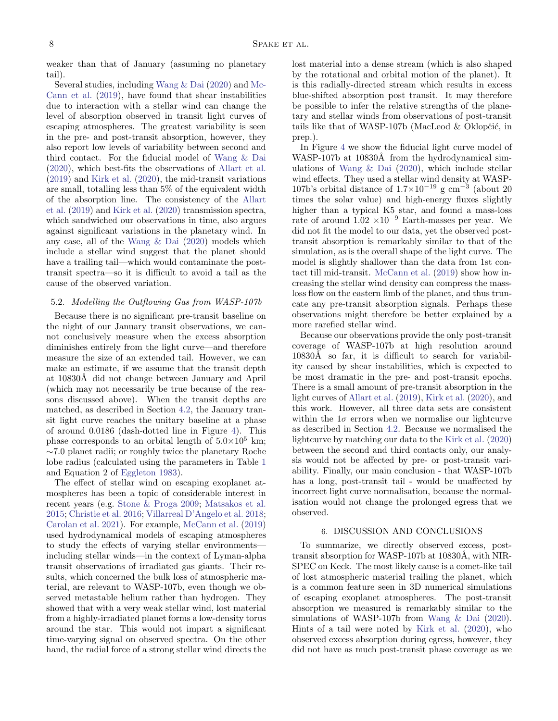weaker than that of January (assuming no planetary tail).

Several studies, including [Wang & Dai](#page-11-22) [\(2020\)](#page-11-22) and [Mc-](#page-10-15)[Cann et al.](#page-10-15) [\(2019\)](#page-10-15), have found that shear instabilities due to interaction with a stellar wind can change the level of absorption observed in transit light curves of escaping atmospheres. The greatest variability is seen in the pre- and post-transit absorption, however, they also report low levels of variability between second and third contact. For the fiducial model of [Wang & Dai](#page-11-22) [\(2020\)](#page-11-22), which best-fits the observations of [Allart et al.](#page-10-27) [\(2019\)](#page-10-27) and [Kirk et al.](#page-10-28) [\(2020\)](#page-10-28), the mid-transit variations are small, totalling less than 5% of the equivalent width of the absorption line. The consistency of the [Allart](#page-10-27) [et al.](#page-10-27) [\(2019\)](#page-10-27) and [Kirk et al.](#page-10-28) [\(2020\)](#page-10-28) transmission spectra, which sandwiched our observations in time, also argues against significant variations in the planetary wind. In any case, all of the [Wang & Dai](#page-11-22) [\(2020\)](#page-11-22) models which include a stellar wind suggest that the planet should have a trailing tail—which would contaminate the posttransit spectra—so it is difficult to avoid a tail as the cause of the observed variation.

#### 5.2. Modelling the Outflowing Gas from WASP-107b

Because there is no significant pre-transit baseline on the night of our January transit observations, we cannot conclusively measure when the excess absorption diminishes entirely from the light curve—and therefore measure the size of an extended tail. However, we can make an estimate, if we assume that the transit depth at 10830Å did not change between January and April (which may not necessarily be true because of the reasons discussed above). When the transit depths are matched, as described in Section [4.2,](#page-4-3) the January transit light curve reaches the unitary baseline at a phase of around 0.0186 (dash-dotted line in Figure [4\)](#page-6-0). This phase corresponds to an orbital length of  $5.0\times10^5$  km; ∼7.0 planet radii; or roughly twice the planetary Roche lobe radius (calculated using the parameters in Table [1](#page-3-0) and Equation 2 of [Eggleton](#page-10-39) [1983\)](#page-10-39).

The effect of stellar wind on escaping exoplanet atmospheres has been a topic of considerable interest in recent years (e.g. [Stone & Proga](#page-11-32) [2009;](#page-11-32) [Matsakos et al.](#page-10-10) [2015;](#page-10-10) [Christie et al.](#page-10-11) [2016;](#page-10-11) [Villarreal D'Angelo et al.](#page-11-33) [2018;](#page-11-33) [Carolan et al.](#page-10-16) [2021\)](#page-10-16). For example, [McCann et al.](#page-10-15) [\(2019\)](#page-10-15) used hydrodynamical models of escaping atmospheres to study the effects of varying stellar environments including stellar winds—in the context of Lyman-alpha transit observations of irradiated gas giants. Their results, which concerned the bulk loss of atmospheric material, are relevant to WASP-107b, even though we observed metastable helium rather than hydrogen. They showed that with a very weak stellar wind, lost material from a highly-irradiated planet forms a low-density torus around the star. This would not impart a significant time-varying signal on observed spectra. On the other hand, the radial force of a strong stellar wind directs the lost material into a dense stream (which is also shaped by the rotational and orbital motion of the planet). It is this radially-directed stream which results in excess blue-shifted absorption post transit. It may therefore be possible to infer the relative strengths of the planetary and stellar winds from observations of post-transit tails like that of WASP-107b (MacLeod  $&$  Oklopčić, in prep.).

In Figure [4](#page-6-0) we show the fiducial light curve model of WASP-107b at 10830Å from the hydrodynamical simulations of [Wang & Dai](#page-11-22) [\(2020\)](#page-11-22), which include stellar wind effects. They used a stellar wind density at WASP-107b's orbital distance of  $1.7 \times 10^{-19}$  g cm<sup>-3</sup> (about 20 times the solar value) and high-energy fluxes slightly higher than a typical K5 star, and found a mass-loss rate of around  $1.02 \times 10^{-9}$  Earth-masses per year. We did not fit the model to our data, yet the observed posttransit absorption is remarkably similar to that of the simulation, as is the overall shape of the light curve. The model is slightly shallower than the data from 1st contact till mid-transit. [McCann et al.](#page-10-15) [\(2019\)](#page-10-15) show how increasing the stellar wind density can compress the massloss flow on the eastern limb of the planet, and thus truncate any pre-transit absorption signals. Perhaps these observations might therefore be better explained by a more rarefied stellar wind.

Because our observations provide the only post-transit coverage of WASP-107b at high resolution around 10830Å so far, it is difficult to search for variability caused by shear instabilities, which is expected to be most dramatic in the pre- and post-transit epochs. There is a small amount of pre-transit absorption in the light curves of [Allart et al.](#page-10-27) [\(2019\)](#page-10-27), [Kirk et al.](#page-10-28) [\(2020\)](#page-10-28), and this work. However, all three data sets are consistent within the  $1\sigma$  errors when we normalise our lightcurve as described in Section [4.2.](#page-4-3) Because we normalised the lightcurve by matching our data to the [Kirk et al.](#page-10-28) [\(2020\)](#page-10-28) between the second and third contacts only, our analysis would not be affected by pre- or post-transit variability. Finally, our main conclusion - that WASP-107b has a long, post-transit tail - would be unaffected by incorrect light curve normalisation, because the normalisation would not change the prolonged egress that we observed.

#### 6. DISCUSSION AND CONCLUSIONS

To summarize, we directly observed excess, posttransit absorption for WASP-107b at 10830Å, with NIR-SPEC on Keck. The most likely cause is a comet-like tail of lost atmospheric material trailing the planet, which is a common feature seen in 3D numerical simulations of escaping exoplanet atmospheres. The post-transit absorption we measured is remarkably similar to the simulations of WASP-107b from [Wang & Dai](#page-11-22) [\(2020\)](#page-11-22). Hints of a tail were noted by [Kirk et al.](#page-10-28) [\(2020\)](#page-10-28), who observed excess absorption during egress, however, they did not have as much post-transit phase coverage as we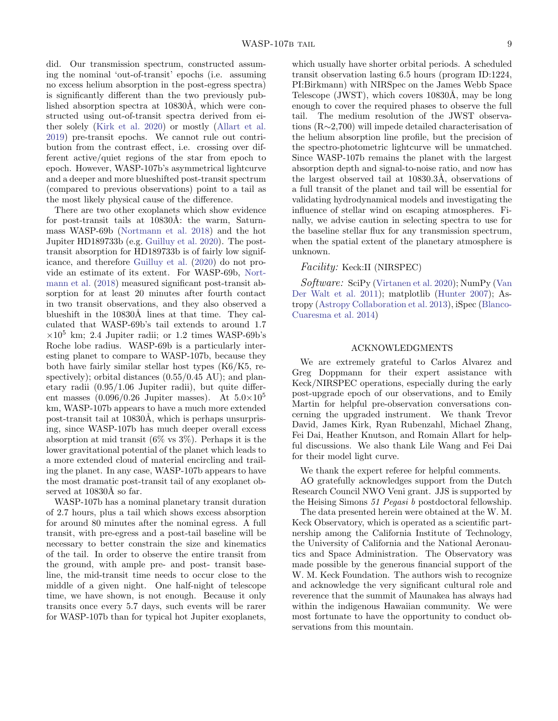did. Our transmission spectrum, constructed assuming the nominal 'out-of-transit' epochs (i.e. assuming no excess helium absorption in the post-egress spectra) is significantly different than the two previously published absorption spectra at 10830Å, which were constructed using out-of-transit spectra derived from either solely [\(Kirk et al.](#page-10-28) [2020\)](#page-10-28) or mostly [\(Allart et al.](#page-10-27) [2019\)](#page-10-27) pre-transit epochs. We cannot rule out contribution from the contrast effect, i.e. crossing over different active/quiet regions of the star from epoch to epoch. However, WASP-107b's asymmetrical lightcurve and a deeper and more blueshifted post-transit spectrum (compared to previous observations) point to a tail as the most likely physical cause of the difference.

There are two other exoplanets which show evidence for post-transit tails at 10830Å: the warm, Saturnmass WASP-69b [\(Nortmann et al.](#page-11-10) [2018\)](#page-11-10) and the hot Jupiter HD189733b (e.g. [Guilluy et al.](#page-10-38) [2020\)](#page-10-38). The posttransit absorption for HD189733b is of fairly low significance, and therefore [Guilluy et al.](#page-10-38) [\(2020\)](#page-10-38) do not provide an estimate of its extent. For WASP-69b, [Nort](#page-11-10)[mann et al.](#page-11-10) [\(2018\)](#page-11-10) measured significant post-transit absorption for at least 20 minutes after fourth contact in two transit observations, and they also observed a blueshift in the 10830Å lines at that time. They calculated that WASP-69b's tail extends to around 1.7  $\times 10^5$  km; 2.4 Jupiter radii; or 1.2 times WASP-69b's Roche lobe radius. WASP-69b is a particularly interesting planet to compare to WASP-107b, because they both have fairly similar stellar host types (K6/K5, respectively); orbital distances  $(0.55/0.45 \text{ AU})$ ; and planetary radii (0.95/1.06 Jupiter radii), but quite different masses  $(0.096/0.26$  Jupiter masses). At  $5.0\times10^{5}$ km, WASP-107b appears to have a much more extended post-transit tail at 10830Å, which is perhaps unsurprising, since WASP-107b has much deeper overall excess absorption at mid transit (6% vs 3%). Perhaps it is the lower gravitational potential of the planet which leads to a more extended cloud of material encircling and trailing the planet. In any case, WASP-107b appears to have the most dramatic post-transit tail of any exoplanet observed at  $10830\text{\AA}$  so far.

WASP-107b has a nominal planetary transit duration of 2.7 hours, plus a tail which shows excess absorption for around 80 minutes after the nominal egress. A full transit, with pre-egress and a post-tail baseline will be necessary to better constrain the size and kinematics of the tail. In order to observe the entire transit from the ground, with ample pre- and post- transit baseline, the mid-transit time needs to occur close to the middle of a given night. One half-night of telescope time, we have shown, is not enough. Because it only transits once every 5.7 days, such events will be rarer for WASP-107b than for typical hot Jupiter exoplanets,

which usually have shorter orbital periods. A scheduled transit observation lasting 6.5 hours (program ID:1224, PI:Birkmann) with NIRSpec on the James Webb Space Telescope (JWST), which covers  $10830\text{\AA}$ , may be long enough to cover the required phases to observe the full tail. The medium resolution of the JWST observations (R∼2,700) will impede detailed characterisation of the helium absorption line profile, but the precision of the spectro-photometric lightcurve will be unmatched. Since WASP-107b remains the planet with the largest absorption depth and signal-to-noise ratio, and now has the largest observed tail at  $10830.3\text{\AA}$ , observations of a full transit of the planet and tail will be essential for validating hydrodynamical models and investigating the influence of stellar wind on escaping atmospheres. Finally, we advise caution in selecting spectra to use for the baseline stellar flux for any transmission spectrum, when the spatial extent of the planetary atmosphere is unknown.

#### Facility: Keck:II (NIRSPEC)

Software: SciPy [\(Virtanen et al.](#page-11-34) [2020\)](#page-11-34); NumPy [\(Van](#page-11-35) [Der Walt et al.](#page-11-35) [2011\)](#page-11-35); matplotlib [\(Hunter](#page-10-40) [2007\)](#page-10-40); Astropy [\(Astropy Collaboration et al.](#page-10-41) [2013\)](#page-10-41), iSpec [\(Blanco-](#page-10-34)[Cuaresma et al.](#page-10-34) [2014\)](#page-10-34)

#### ACKNOWLEDGMENTS

We are extremely grateful to Carlos Alvarez and Greg Doppmann for their expert assistance with Keck/NIRSPEC operations, especially during the early post-upgrade epoch of our observations, and to Emily Martin for helpful pre-observation conversations concerning the upgraded instrument. We thank Trevor David, James Kirk, Ryan Rubenzahl, Michael Zhang, Fei Dai, Heather Knutson, and Romain Allart for helpful discussions. We also thank Lile Wang and Fei Dai for their model light curve.

We thank the expert referee for helpful comments.

AO gratefully acknowledges support from the Dutch Research Council NWO Veni grant. JJS is supported by the Heising Simons 51 Pegasi b postdoctoral fellowship.

The data presented herein were obtained at the W. M. Keck Observatory, which is operated as a scientific partnership among the California Institute of Technology, the University of California and the National Aeronautics and Space Administration. The Observatory was made possible by the generous financial support of the W. M. Keck Foundation. The authors wish to recognize and acknowledge the very significant cultural role and reverence that the summit of Maunakea has always had within the indigenous Hawaiian community. We were most fortunate to have the opportunity to conduct observations from this mountain.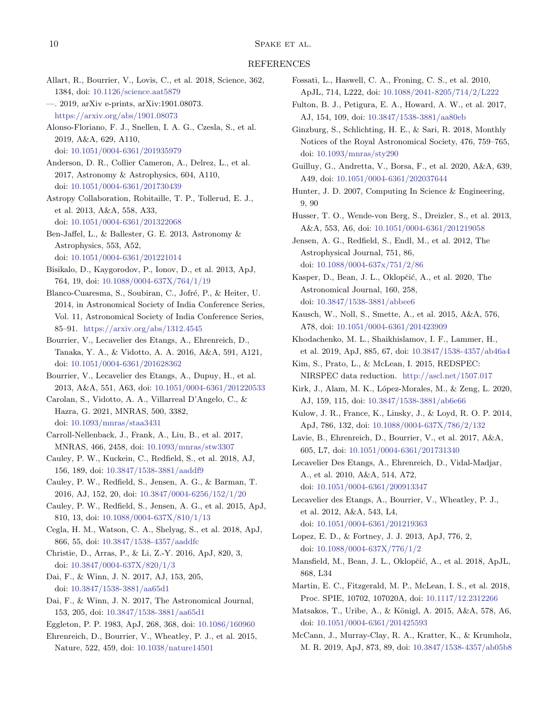#### REFERENCES

- <span id="page-10-22"></span>Allart, R., Bourrier, V., Lovis, C., et al. 2018, Science, 362, 1384, doi: [10.1126/science.aat5879](http://doi.org/10.1126/science.aat5879)
- <span id="page-10-27"></span>—. 2019, arXiv e-prints, arXiv:1901.08073. <https://arxiv.org/abs/1901.08073>
- <span id="page-10-24"></span>Alonso-Floriano, F. J., Snellen, I. A. G., Czesla, S., et al. 2019, A&A, 629, A110, doi: [10.1051/0004-6361/201935979](http://doi.org/10.1051/0004-6361/201935979)
- <span id="page-10-26"></span>Anderson, D. R., Collier Cameron, A., Delrez, L., et al. 2017, Astronomy & Astrophysics, 604, A110, doi: [10.1051/0004-6361/201730439](http://doi.org/10.1051/0004-6361/201730439)
- <span id="page-10-41"></span>Astropy Collaboration, Robitaille, T. P., Tollerud, E. J., et al. 2013, A&A, 558, A33, doi: [10.1051/0004-6361/201322068](http://doi.org/10.1051/0004-6361/201322068)
- <span id="page-10-18"></span>Ben-Jaffel, L., & Ballester, G. E. 2013, Astronomy & Astrophysics, 553, A52, doi: [10.1051/0004-6361/201221014](http://doi.org/10.1051/0004-6361/201221014)
- <span id="page-10-9"></span>Bisikalo, D., Kaygorodov, P., Ionov, D., et al. 2013, ApJ, 764, 19, doi: [10.1088/0004-637X/764/1/19](http://doi.org/10.1088/0004-637X/764/1/19)
- <span id="page-10-34"></span>Blanco-Cuaresma, S., Soubiran, C., Jofré, P., & Heiter, U. 2014, in Astronomical Society of India Conference Series, Vol. 11, Astronomical Society of India Conference Series, 85–91. <https://arxiv.org/abs/1312.4545>
- <span id="page-10-12"></span>Bourrier, V., Lecavelier des Etangs, A., Ehrenreich, D., Tanaka, Y. A., & Vidotto, A. A. 2016, A&A, 591, A121, doi: [10.1051/0004-6361/201628362](http://doi.org/10.1051/0004-6361/201628362)
- <span id="page-10-19"></span>Bourrier, V., Lecavelier des Etangs, A., Dupuy, H., et al. 2013, A&A, 551, A63, doi: [10.1051/0004-6361/201220533](http://doi.org/10.1051/0004-6361/201220533)
- <span id="page-10-16"></span>Carolan, S., Vidotto, A. A., Villarreal D'Angelo, C., & Hazra, G. 2021, MNRAS, 500, 3382, doi: [10.1093/mnras/staa3431](http://doi.org/10.1093/mnras/staa3431)
- <span id="page-10-13"></span>Carroll-Nellenback, J., Frank, A., Liu, B., et al. 2017, MNRAS, 466, 2458, doi: [10.1093/mnras/stw3307](http://doi.org/10.1093/mnras/stw3307)
- <span id="page-10-36"></span>Cauley, P. W., Kuckein, C., Redfield, S., et al. 2018, AJ, 156, 189, doi: [10.3847/1538-3881/aaddf9](http://doi.org/10.3847/1538-3881/aaddf9)
- <span id="page-10-21"></span>Cauley, P. W., Redfield, S., Jensen, A. G., & Barman, T. 2016, AJ, 152, 20, doi: [10.3847/0004-6256/152/1/20](http://doi.org/10.3847/0004-6256/152/1/20)
- <span id="page-10-20"></span>Cauley, P. W., Redfield, S., Jensen, A. G., et al. 2015, ApJ, 810, 13, doi: [10.1088/0004-637X/810/1/13](http://doi.org/10.1088/0004-637X/810/1/13)
- <span id="page-10-35"></span>Cegla, H. M., Watson, C. A., Shelyag, S., et al. 2018, ApJ, 866, 55, doi: [10.3847/1538-4357/aaddfc](http://doi.org/10.3847/1538-4357/aaddfc)
- <span id="page-10-11"></span>Christie, D., Arras, P., & Li, Z.-Y. 2016, ApJ, 820, 3, doi: [10.3847/0004-637X/820/1/3](http://doi.org/10.3847/0004-637X/820/1/3)
- <span id="page-10-29"></span>Dai, F., & Winn, J. N. 2017, AJ, 153, 205, doi: [10.3847/1538-3881/aa65d1](http://doi.org/10.3847/1538-3881/aa65d1)
- <span id="page-10-37"></span>Dai, F., & Winn, J. N. 2017, The Astronomical Journal, 153, 205, doi: [10.3847/1538-3881/aa65d1](http://doi.org/10.3847/1538-3881/aa65d1)
- <span id="page-10-39"></span>Eggleton, P. P. 1983, ApJ, 268, 368, doi: [10.1086/160960](http://doi.org/10.1086/160960)
- <span id="page-10-6"></span>Ehrenreich, D., Bourrier, V., Wheatley, P. J., et al. 2015, Nature, 522, 459, doi: [10.1038/nature14501](http://doi.org/10.1038/nature14501)
- <span id="page-10-17"></span>Fossati, L., Haswell, C. A., Froning, C. S., et al. 2010, ApJL, 714, L222, doi: [10.1088/2041-8205/714/2/L222](http://doi.org/10.1088/2041-8205/714/2/L222)
- <span id="page-10-1"></span>Fulton, B. J., Petigura, E. A., Howard, A. W., et al. 2017, AJ, 154, 109, doi: [10.3847/1538-3881/aa80eb](http://doi.org/10.3847/1538-3881/aa80eb)
- <span id="page-10-2"></span>Ginzburg, S., Schlichting, H. E., & Sari, R. 2018, Monthly Notices of the Royal Astronomical Society, 476, 759–765, doi: [10.1093/mnras/sty290](http://doi.org/10.1093/mnras/sty290)
- <span id="page-10-38"></span>Guilluy, G., Andretta, V., Borsa, F., et al. 2020, A&A, 639, A49, doi: [10.1051/0004-6361/202037644](http://doi.org/10.1051/0004-6361/202037644)
- <span id="page-10-40"></span>Hunter, J. D. 2007, Computing In Science & Engineering, 9, 90
- <span id="page-10-32"></span>Husser, T. O., Wende-von Berg, S., Dreizler, S., et al. 2013, A&A, 553, A6, doi: [10.1051/0004-6361/201219058](http://doi.org/10.1051/0004-6361/201219058)
- <span id="page-10-4"></span>Jensen, A. G., Redfield, S., Endl, M., et al. 2012, The Astrophysical Journal, 751, 86, doi: [10.1088/0004-637x/751/2/86](http://doi.org/10.1088/0004-637x/751/2/86)
- <span id="page-10-25"></span>Kasper, D., Bean, J. L., Oklopčić, A., et al. 2020, The Astronomical Journal, 160, 258, doi: [10.3847/1538-3881/abbee6](http://doi.org/10.3847/1538-3881/abbee6)
- <span id="page-10-33"></span>Kausch, W., Noll, S., Smette, A., et al. 2015, A&A, 576, A78, doi: [10.1051/0004-6361/201423909](http://doi.org/10.1051/0004-6361/201423909)
- <span id="page-10-14"></span>Khodachenko, M. L., Shaikhislamov, I. F., Lammer, H., et al. 2019, ApJ, 885, 67, doi: [10.3847/1538-4357/ab46a4](http://doi.org/10.3847/1538-4357/ab46a4)
- <span id="page-10-31"></span>Kim, S., Prato, L., & McLean, I. 2015, REDSPEC: NIRSPEC data reduction. <http://ascl.net/1507.017>
- <span id="page-10-28"></span>Kirk, J., Alam, M. K., López-Morales, M., & Zeng, L. 2020, AJ, 159, 115, doi: [10.3847/1538-3881/ab6e66](http://doi.org/10.3847/1538-3881/ab6e66)
- <span id="page-10-5"></span>Kulow, J. R., France, K., Linsky, J., & Loyd, R. O. P. 2014, ApJ, 786, 132, doi: [10.1088/0004-637X/786/2/132](http://doi.org/10.1088/0004-637X/786/2/132)
- <span id="page-10-7"></span>Lavie, B., Ehrenreich, D., Bourrier, V., et al. 2017, A&A, 605, L7, doi: [10.1051/0004-6361/201731340](http://doi.org/10.1051/0004-6361/201731340)
- <span id="page-10-3"></span>Lecavelier Des Etangs, A., Ehrenreich, D., Vidal-Madjar, A., et al. 2010, A&A, 514, A72, doi: [10.1051/0004-6361/200913347](http://doi.org/10.1051/0004-6361/200913347)
- <span id="page-10-8"></span>Lecavelier des Etangs, A., Bourrier, V., Wheatley, P. J., et al. 2012, A&A, 543, L4, doi: [10.1051/0004-6361/201219363](http://doi.org/10.1051/0004-6361/201219363)
- <span id="page-10-0"></span>Lopez, E. D., & Fortney, J. J. 2013, ApJ, 776, 2, doi: [10.1088/0004-637X/776/1/2](http://doi.org/10.1088/0004-637X/776/1/2)
- <span id="page-10-23"></span>Mansfield, M., Bean, J. L., Oklopčić, A., et al. 2018, ApJL, 868, L34
- <span id="page-10-30"></span>Martin, E. C., Fitzgerald, M. P., McLean, I. S., et al. 2018, Proc. SPIE, 10702, 107020A, doi: [10.1117/12.2312266](http://doi.org/10.1117/12.2312266)
- <span id="page-10-10"></span>Matsakos, T., Uribe, A., & Königl, A. 2015, A&A, 578, A6, doi: [10.1051/0004-6361/201425593](http://doi.org/10.1051/0004-6361/201425593)
- <span id="page-10-15"></span>McCann, J., Murray-Clay, R. A., Kratter, K., & Krumholz, M. R. 2019, ApJ, 873, 89, doi: [10.3847/1538-4357/ab05b8](http://doi.org/10.3847/1538-4357/ab05b8)